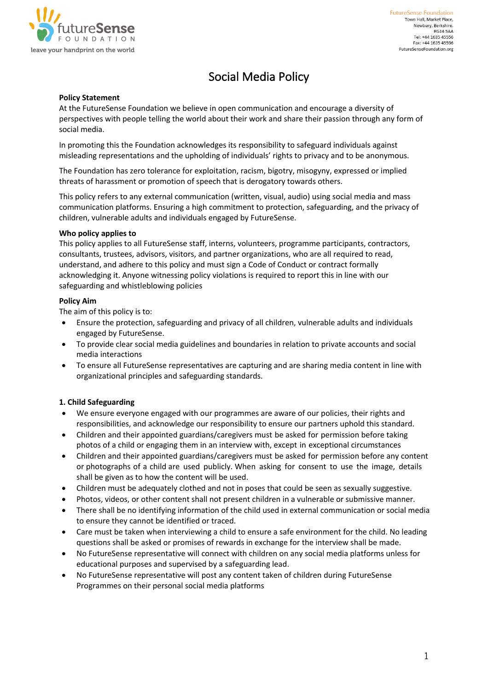

# Social Media Policy

#### **Policy Statement**

At the FutureSense Foundation we believe in open communication and encourage a diversity of perspectives with people telling the world about their work and share their passion through any form of social media.

In promoting this the Foundation acknowledges its responsibility to safeguard individuals against misleading representations and the upholding of individuals' rights to privacy and to be anonymous.

The Foundation has zero tolerance for exploitation, racism, bigotry, misogyny, expressed or implied threats of harassment or promotion of speech that is derogatory towards others.

This policy refers to any external communication (written, visual, audio) using social media and mass communication platforms. Ensuring a high commitment to protection, safeguarding, and the privacy of children, vulnerable adults and individuals engaged by FutureSense.

#### **Who policy applies to**

This policy applies to all FutureSense staff, interns, volunteers, programme participants, contractors, consultants, trustees, advisors, visitors, and partner organizations, who are all required to read, understand, and adhere to this policy and must sign a Code of Conduct or contract formally acknowledging it. Anyone witnessing policy violations is required to report this in line with our safeguarding and whistleblowing policies

#### **Policy Aim**

The aim of this policy is to:

- Ensure the protection, safeguarding and privacy of all children, vulnerable adults and individuals engaged by FutureSense.
- To provide clear social media guidelines and boundaries in relation to private accounts and social media interactions
- To ensure all FutureSense representatives are capturing and are sharing media content in line with organizational principles and safeguarding standards.

## **1. Child Safeguarding**

- We ensure everyone engaged with our programmes are aware of our policies, their rights and responsibilities, and acknowledge our responsibility to ensure our partners uphold this standard.
- Children and their appointed guardians/caregivers must be asked for permission before taking photos of a child or engaging them in an interview with, except in exceptional circumstances
- Children and their appointed guardians/caregivers must be asked for permission before any content or photographs of a child are used publicly. When asking for consent to use the image, details shall be given as to how the content will be used.
- Children must be adequately clothed and not in poses that could be seen as sexually suggestive.
- Photos, videos, or other content shall not present children in a vulnerable or submissive manner.
- There shall be no identifying information of the child used in external communication or social media to ensure they cannot be identified or traced.
- Care must be taken when interviewing a child to ensure a safe environment for the child. No leading questions shall be asked or promises of rewards in exchange for the interview shall be made.
- No FutureSense representative will connect with children on any social media platforms unless for educational purposes and supervised by a safeguarding lead.
- No FutureSense representative will post any content taken of children during FutureSense Programmes on their personal social media platforms